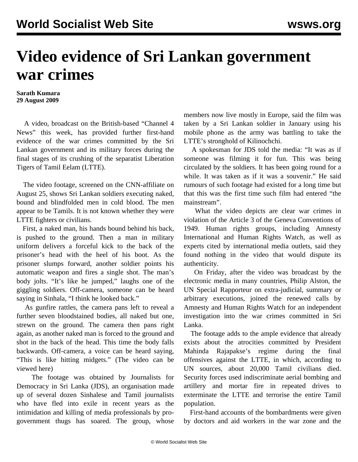## **Video evidence of Sri Lankan government war crimes**

**Sarath Kumara 29 August 2009**

 A video, broadcast on the British-based "Channel 4 News" this week, has provided further first-hand evidence of the war crimes committed by the Sri Lankan government and its military forces during the final stages of its crushing of the separatist Liberation Tigers of Tamil Eelam (LTTE).

 The video footage, screened on the CNN-affiliate on August 25, shows Sri Lankan soldiers executing naked, bound and blindfolded men in cold blood. The men appear to be Tamils. It is not known whether they were LTTE fighters or civilians.

 First, a naked man, his hands bound behind his back, is pushed to the ground. Then a man in military uniform delivers a forceful kick to the back of the prisoner's head with the heel of his boot. As the prisoner slumps forward, another soldier points his automatic weapon and fires a single shot. The man's body jolts. "It's like he jumped," laughs one of the giggling soldiers. Off-camera, someone can be heard saying in Sinhala, "I think he looked back."

 As gunfire rattles, the camera pans left to reveal a further seven bloodstained bodies, all naked but one, strewn on the ground. The camera then pans right again, as another naked man is forced to the ground and shot in the back of the head. This time the body falls backwards. Off-camera, a voice can be heard saying, "This is like hitting midgets." [\(The video can be](http://www.channel4.com/news/articles/world/asia_pacific/execution%20video%20is%20this%20evidence%20of%20war%20crimes%20in%20sri%20lanka/3321087) [viewed here\)](http://www.channel4.com/news/articles/world/asia_pacific/execution%20video%20is%20this%20evidence%20of%20war%20crimes%20in%20sri%20lanka/3321087)

 The footage was obtained by Journalists for Democracy in Sri Lanka (JDS), an organisation made up of several dozen Sinhalese and Tamil journalists who have fled into exile in recent years as the intimidation and killing of media professionals by progovernment thugs has soared. The group, whose members now live mostly in Europe, said the film was taken by a Sri Lankan soldier in January using his mobile phone as the army was battling to take the LTTE's stronghold of Kilinochchi.

 A spokesman for JDS told the media: "It was as if someone was filming it for fun. This was being circulated by the soldiers. It has been going round for a while. It was taken as if it was a souvenir." He said rumours of such footage had existed for a long time but that this was the first time such film had entered "the mainstream".

 What the video depicts are clear war crimes in violation of the Article 3 of the Geneva Conventions of 1949. Human rights groups, including Amnesty International and Human Rights Watch, as well as experts cited by international media outlets, said they found nothing in the video that would dispute its authenticity.

 On Friday, after the video was broadcast by the electronic media in many countries, Philip Alston, the UN Special Rapporteur on extra-judicial, summary or arbitrary executions, joined the renewed calls by Amnesty and Human Rights Watch for an independent investigation into the war crimes committed in Sri Lanka.

 The footage adds to the ample evidence that already exists about the atrocities committed by President Mahinda Rajapakse's regime during the final offensives against the LTTE, in which, according to UN sources, about 20,000 Tamil civilians died. Security forces used indiscriminate aerial bombing and artillery and mortar fire in repeated drives to exterminate the LTTE and terrorise the entire Tamil population.

 First-hand accounts of the bombardments were given by doctors and aid workers in the war zone and the